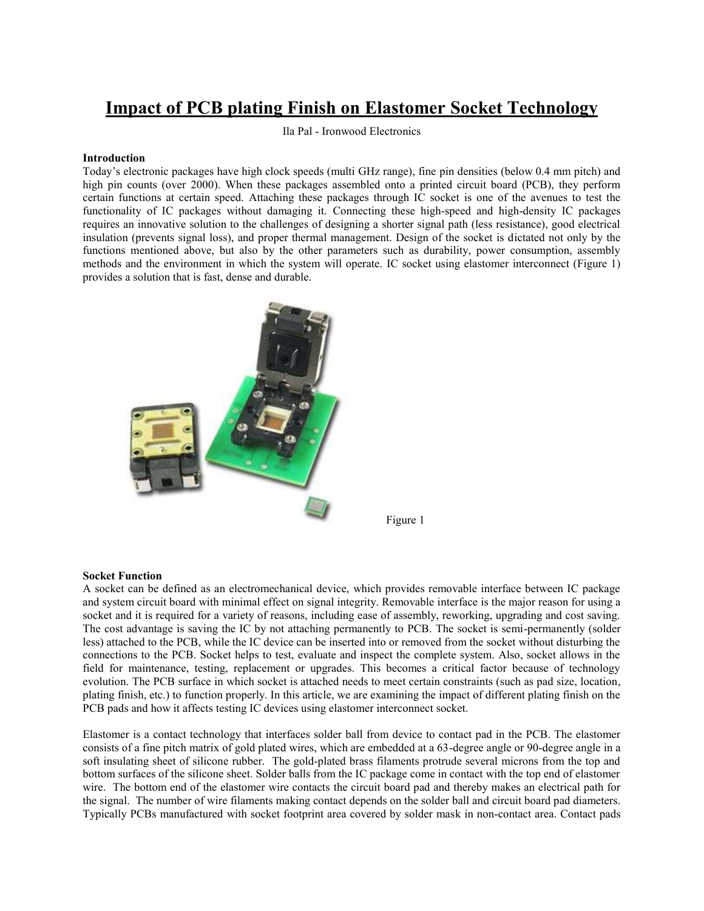# **Impact of PCB plating Finish on Elastomer Socket Technology**

Ila Pal - Ironwood Electronics

## **Introduction**

Today's electronic packages have high clock speeds (multi GHz range), fine pin densities (below 0.4 mm pitch) and high pin counts (over 2000). When these packages assembled onto a printed circuit board (PCB), they perform certain functions at certain speed. Attaching these packages through IC socket is one of the avenues to test the functionality of IC packages without damaging it. Connecting these high-speed and high-density IC packages requires an innovative solution to the challenges of designing a shorter signal path (less resistance), good electrical insulation (prevents signal loss), and proper thermal management. Design of the socket is dictated not only by the functions mentioned above, but also by the other parameters such as durability, power consumption, assembly methods and the environment in which the system will operate. IC socket using elastomer interconnect (Figure 1) provides a solution that is fast, dense and durable.



Figure 1

### **Socket Function**

A socket can be defined as an electromechanical device, which provides removable interface between IC package and system circuit board with minimal effect on signal integrity. Removable interface is the major reason for using a socket and it is required for a variety of reasons, including ease of assembly, reworking, upgrading and cost saving. The cost advantage is saving the IC by not attaching permanently to PCB. The socket is semi-permanently (solder less) attached to the PCB, while the IC device can be inserted into or removed from the socket without disturbing the connections to the PCB. Socket helps to test, evaluate and inspect the complete system. Also, socket allows in the field for maintenance, testing, replacement or upgrades. This becomes a critical factor because of technology evolution. The PCB surface in which socket is attached needs to meet certain constraints (such as pad size, location, plating finish, etc.) to function properly. In this article, we are examining the impact of different plating finish on the PCB pads and how it affects testing IC devices using elastomer interconnect socket.

Elastomer is a contact technology that interfaces solder ball from device to contact pad in the PCB. The elastomer consists of a fine pitch matrix of gold plated wires, which are embedded at a 63-degree angle or 90-degree angle in a soft insulating sheet of silicone rubber. The gold-plated brass filaments protrude several microns from the top and bottom surfaces of the silicone sheet. Solder balls from the IC package come in contact with the top end of elastomer wire. The bottom end of the elastomer wire contacts the circuit board pad and thereby makes an electrical path for the signal. The number of wire filaments making contact depends on the solder ball and circuit board pad diameters. Typically PCBs manufactured with socket footprint area covered by solder mask in non-contact area. Contact pads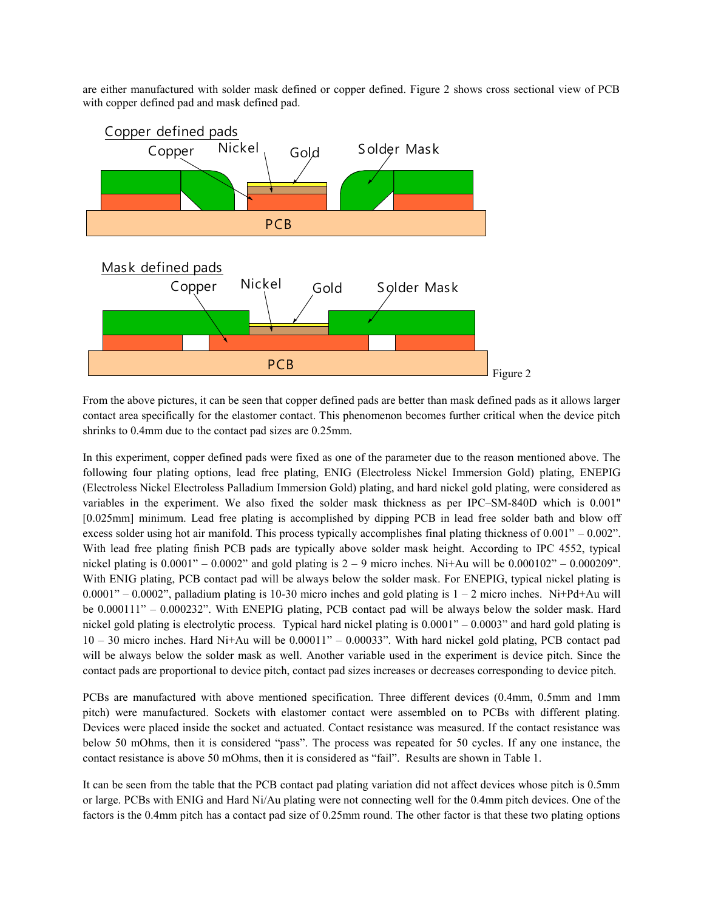are either manufactured with solder mask defined or copper defined. Figure 2 shows cross sectional view of PCB with copper defined pad and mask defined pad.



From the above pictures, it can be seen that copper defined pads are better than mask defined pads as it allows larger contact area specifically for the elastomer contact. This phenomenon becomes further critical when the device pitch shrinks to 0.4mm due to the contact pad sizes are 0.25mm.

In this experiment, copper defined pads were fixed as one of the parameter due to the reason mentioned above. The following four plating options, lead free plating, ENIG (Electroless Nickel Immersion Gold) plating, ENEPIG (Electroless Nickel Electroless Palladium Immersion Gold) plating, and hard nickel gold plating, were considered as variables in the experiment. We also fixed the solder mask thickness as per IPC–SM-840D which is 0.001" [0.025mm] minimum. Lead free plating is accomplished by dipping PCB in lead free solder bath and blow off excess solder using hot air manifold. This process typically accomplishes final plating thickness of 0.001" – 0.002". With lead free plating finish PCB pads are typically above solder mask height. According to IPC 4552, typical nickel plating is  $0.0001" - 0.0002"$  and gold plating is  $2 - 9$  micro inches. Ni+Au will be  $0.000102" - 0.000209"$ . With ENIG plating, PCB contact pad will be always below the solder mask. For ENEPIG, typical nickel plating is  $0.0001" - 0.0002"$ , palladium plating is 10-30 micro inches and gold plating is  $1 - 2$  micro inches. Ni+Pd+Au will be 0.000111" – 0.000232". With ENEPIG plating, PCB contact pad will be always below the solder mask. Hard nickel gold plating is electrolytic process. Typical hard nickel plating is 0.0001" – 0.0003" and hard gold plating is 10 – 30 micro inches. Hard Ni+Au will be 0.00011" – 0.00033". With hard nickel gold plating, PCB contact pad will be always below the solder mask as well. Another variable used in the experiment is device pitch. Since the contact pads are proportional to device pitch, contact pad sizes increases or decreases corresponding to device pitch.

PCBs are manufactured with above mentioned specification. Three different devices (0.4mm, 0.5mm and 1mm pitch) were manufactured. Sockets with elastomer contact were assembled on to PCBs with different plating. Devices were placed inside the socket and actuated. Contact resistance was measured. If the contact resistance was below 50 mOhms, then it is considered "pass". The process was repeated for 50 cycles. If any one instance, the contact resistance is above 50 mOhms, then it is considered as "fail". Results are shown in Table 1.

It can be seen from the table that the PCB contact pad plating variation did not affect devices whose pitch is 0.5mm or large. PCBs with ENIG and Hard Ni/Au plating were not connecting well for the 0.4mm pitch devices. One of the factors is the 0.4mm pitch has a contact pad size of 0.25mm round. The other factor is that these two plating options